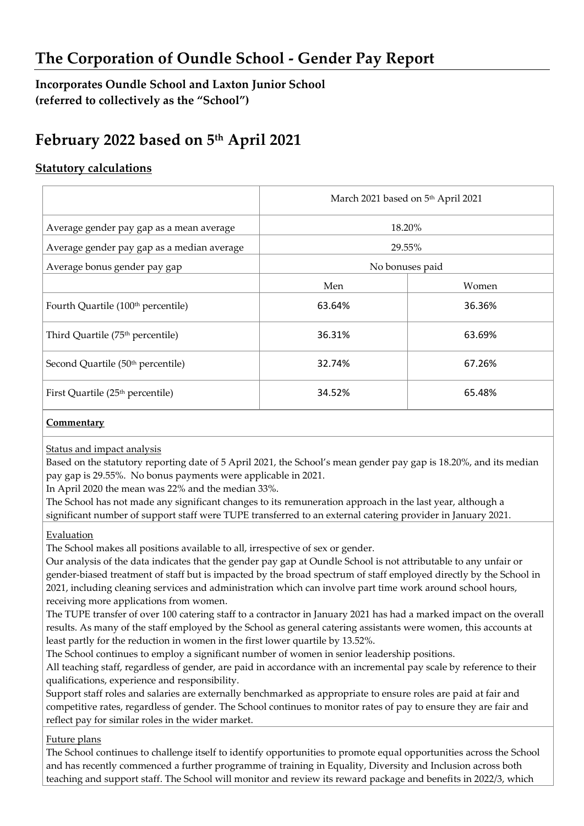## **The Corporation of Oundle School - Gender Pay Report**

## **Incorporates Oundle School and Laxton Junior School (referred to collectively as the "School")**

# **February 2022 based on 5 th April 2021**

### **Statutory calculations**

|                                                | March 2021 based on 5th April 2021 |        |
|------------------------------------------------|------------------------------------|--------|
| Average gender pay gap as a mean average       | 18.20%                             |        |
| Average gender pay gap as a median average     | 29.55%                             |        |
| Average bonus gender pay gap                   | No bonuses paid                    |        |
|                                                | Men                                | Women  |
| Fourth Quartile (100 <sup>th</sup> percentile) | 63.64%                             | 36.36% |
| Third Quartile (75 <sup>th</sup> percentile)   | 36.31%                             | 63.69% |
| Second Quartile (50 <sup>th</sup> percentile)  | 32.74%                             | 67.26% |
| First Quartile (25 <sup>th</sup> percentile)   | 34.52%                             | 65.48% |

#### **Commentary**

Status and impact analysis

Based on the statutory reporting date of 5 April 2021, the School's mean gender pay gap is 18.20%, and its median pay gap is 29.55%. No bonus payments were applicable in 2021.

In April 2020 the mean was 22% and the median 33%.

The School has not made any significant changes to its remuneration approach in the last year, although a significant number of support staff were TUPE transferred to an external catering provider in January 2021.

#### **Evaluation**

The School makes all positions available to all, irrespective of sex or gender.

Our analysis of the data indicates that the gender pay gap at Oundle School is not attributable to any unfair or gender-biased treatment of staff but is impacted by the broad spectrum of staff employed directly by the School in 2021, including cleaning services and administration which can involve part time work around school hours, receiving more applications from women.

The TUPE transfer of over 100 catering staff to a contractor in January 2021 has had a marked impact on the overall results. As many of the staff employed by the School as general catering assistants were women, this accounts at least partly for the reduction in women in the first lower quartile by 13.52%.

The School continues to employ a significant number of women in senior leadership positions.

All teaching staff, regardless of gender, are paid in accordance with an incremental pay scale by reference to their qualifications, experience and responsibility.

Support staff roles and salaries are externally benchmarked as appropriate to ensure roles are paid at fair and competitive rates, regardless of gender. The School continues to monitor rates of pay to ensure they are fair and reflect pay for similar roles in the wider market.

Future plans

The School continues to challenge itself to identify opportunities to promote equal opportunities across the School and has recently commenced a further programme of training in Equality, Diversity and Inclusion across both teaching and support staff. The School will monitor and review its reward package and benefits in 2022/3, which